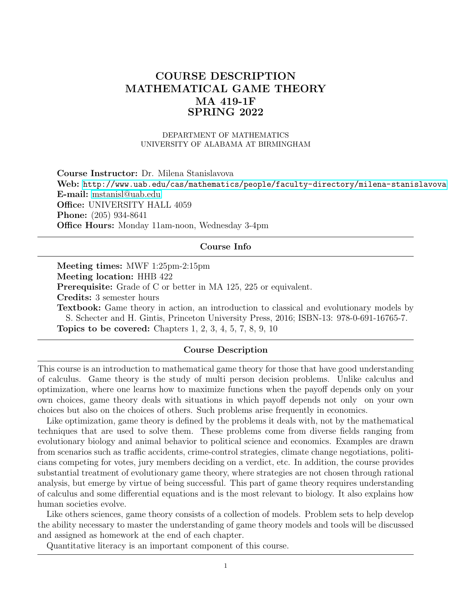# COURSE DESCRIPTION MATHEMATICAL GAME THEORY MA 419-1F SPRING 2022

### DEPARTMENT OF MATHEMATICS UNIVERSITY OF ALABAMA AT BIRMINGHAM

Course Instructor: Dr. Milena Stanislavova Web: <http://www.uab.edu/cas/mathematics/people/faculty-directory/milena-stanislavova> E-mail: [mstanisl@uab.edu](mailto:mstanisl@uab.edu) Office: UNIVERSITY HALL 4059 Phone: (205) 934-8641 Office Hours: Monday 11am-noon, Wednesday 3-4pm

# Course Info

Meeting times: MWF 1:25pm-2:15pm Meeting location: HHB 422 Prerequisite: Grade of C or better in MA 125, 225 or equivalent. Credits: 3 semester hours Textbook: Game theory in action, an introduction to classical and evolutionary models by S. Schecter and H. Gintis, Princeton University Press, 2016; ISBN-13: 978-0-691-16765-7. Topics to be covered: Chapters 1, 2, 3, 4, 5, 7, 8, 9, 10

#### Course Description

This course is an introduction to mathematical game theory for those that have good understanding of calculus. Game theory is the study of multi person decision problems. Unlike calculus and optimization, where one learns how to maximize functions when the payoff depends only on your own choices, game theory deals with situations in which payoff depends not only on your own choices but also on the choices of others. Such problems arise frequently in economics.

Like optimization, game theory is defined by the problems it deals with, not by the mathematical techniques that are used to solve them. These problems come from diverse fields ranging from evolutionary biology and animal behavior to political science and economics. Examples are drawn from scenarios such as traffic accidents, crime-control strategies, climate change negotiations, politicians competing for votes, jury members deciding on a verdict, etc. In addition, the course provides substantial treatment of evolutionary game theory, where strategies are not chosen through rational analysis, but emerge by virtue of being successful. This part of game theory requires understanding of calculus and some differential equations and is the most relevant to biology. It also explains how human societies evolve.

Like others sciences, game theory consists of a collection of models. Problem sets to help develop the ability necessary to master the understanding of game theory models and tools will be discussed and assigned as homework at the end of each chapter.

Quantitative literacy is an important component of this course.